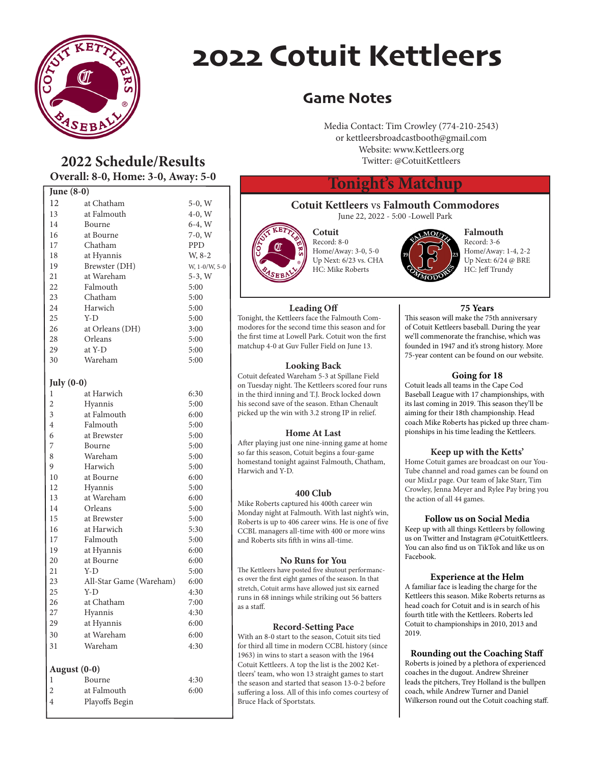

## 2022 Cotuit Kettleers

#### Game Notes

Media Contact: Tim Crowley (774-210-2543) or kettleersbroadcastbooth@gmail.com Website: www.Kettleers.org Twitter: @CotuitKettleers

#### **Tonight's Matchup**

### **Cotuit Kettleers** vs **Falmouth Commodores**

June 22, 2022 - 5:00 -Lowell Park



**Cotuit** Record: 8-0 Home/Away: 3-0, 5-0 Up Next: 6/23 vs. CHA HC: Mike Roberts



**Falmouth** Record: 3-6 Home/Away: 1-4, 2-2 Up Next: 6/24 @ BRE HC: Jeff Trundy

**Leading Off** Tonight, the Kettleers face the Falmouth Commodores for the second time this season and for the first time at Lowell Park. Cotuit won the first matchup 4-0 at Guv Fuller Field on June 13.

#### **Looking Back**

Cotuit defeated Wareham 5-3 at Spillane Field on Tuesday night. The Kettleers scored four runs in the third inning and T.J. Brock locked down his second save of the season. Ethan Chenault picked up the win with 3.2 strong IP in relief.

#### **Home At Last**

After playing just one nine-inning game at home so far this season, Cotuit begins a four-game homestand tonight against Falmouth, Chatham, Harwich and Y-D.

#### **400 Club**

Mike Roberts captured his 400th career win Monday night at Falmouth. With last night's win, Roberts is up to 406 career wins. He is one of five CCBL managers all-time with 400 or more wins and Roberts sits fifth in wins all-time.

#### **No Runs for You**

The Kettleers have posted five shutout performances over the first eight games of the season. In that stretch, Cotuit arms have allowed just six earned runs in 68 innings while striking out 56 batters as a staff.

#### **Record-Setting Pace**

With an 8-0 start to the season, Cotuit sits tied for third all time in modern CCBL history (since 1963) in wins to start a season with the 1964 Cotuit Kettleers. A top the list is the 2002 Kettleers' team, who won 13 straight games to start the season and started that season 13-0-2 before suffering a loss. All of this info comes courtesy of Bruce Hack of Sportstats.

This season will make the 75th anniversary of Cotuit Kettleers baseball. During the year we'll commenorate the franchise, which was founded in 1947 and it's strong history. More 75-year content can be found on our website.

#### **Going for 18**

Cotuit leads all teams in the Cape Cod Baseball League with 17 championships, with its last coming in 2019. This season they'll be aiming for their 18th championship. Head coach Mike Roberts has picked up three championships in his time leading the Kettleers.

#### **Keep up with the Ketts'**

Home Cotuit games are broadcast on our You-Tube channel and road games can be found on our MixLr page. Our team of Jake Starr, Tim Crowley, Jenna Meyer and Rylee Pay bring you the action of all 44 games.

#### **Follow us on Social Media**

Keep up with all things Kettleers by following us on Twitter and Instagram @CotuitKettleers. You can also find us on TikTok and like us on Facebook.

#### **Experience at the Helm**

A familiar face is leading the charge for the Kettleers this season. Mike Roberts returns as head coach for Cotuit and is in search of his fourth title with the Kettleers. Roberts led Cotuit to championships in 2010, 2013 and 2019.

#### **Rounding out the Coaching Staff**

Roberts is joined by a plethora of experienced coaches in the dugout. Andrew Shreiner leads the pitchers, Trey Holland is the bullpen coach, while Andrew Turner and Daniel Wilkerson round out the Cotuit coaching staff.

#### **2022 Schedule/Results Overall: 8-0, Home: 3-0, Away: 5-0**

| June (8-0)     |                         |               |
|----------------|-------------------------|---------------|
| 12             | at Chatham              | $5-0, W$      |
| 13             | at Falmouth             | $4-0, W$      |
| 14             | Bourne                  | $6-4, W$      |
| 16             | at Bourne               | 7-0, W        |
| 17             | Chatham                 | <b>PPD</b>    |
| 18             | at Hyannis              | W, 8-2        |
| 19             | Brewster (DH)           | W, 1-0/W, 5-0 |
| 21             | at Wareham              | 5-3, W        |
| 22             | Falmouth                | 5:00          |
| 23             | Chatham                 | 5:00          |
| 24             | Harwich                 | 5:00          |
| 25             | Y-D                     | 5:00          |
| 26             | at Orleans (DH)         | 3:00          |
| 28             | Orleans                 | 5:00          |
| 29             | at Y-D                  | 5:00          |
| 30             | Wareham                 | 5:00          |
|                |                         |               |
| July $(0-0)$   |                         |               |
| 1              | at Harwich              | 6:30          |
| $\overline{c}$ | Hyannis                 | 5:00          |
| 3              | at Falmouth             | 6:00          |
| $\overline{4}$ | Falmouth                | 5:00          |
| 6              | at Brewster             | 5:00          |
| 7              | Bourne                  | 5:00          |
| 8              | Wareham                 | 5:00          |
| 9              | Harwich                 | 5:00          |
| 10             | at Bourne               | 6:00          |
| 12             | Hyannis                 | 5:00          |
| 13             | at Wareham              | 6:00          |
| 14             | Orleans                 | 5:00          |
| 15             | at Brewster             | 5:00          |
| 16             | at Harwich              | 5:30          |
| 17             | Falmouth                | 5:00          |
| 19             | at Hyannis              | 6:00          |
| 20             | at Bourne               | 6:00          |
| 21             | Y-D                     | 5:00          |
| 23             | All-Star Game (Wareham) | 6:00          |
| 25             | Y-D                     | 4:30          |
| 26<br>27       | at Chatham              | 7:00          |
|                | Hyannis                 | 4:30<br>6:00  |
| 29             | at Hyannis              |               |
| 30             | at Wareham              | 6:00          |
| 31             | Wareham                 | 4:30          |
|                |                         |               |
| August $(0-0)$ |                         |               |
| 1              | Bourne                  | 4:30          |
| 2              | at Falmouth             | 6:00          |
| 4              | Playoffs Begin          |               |

# **75 Years**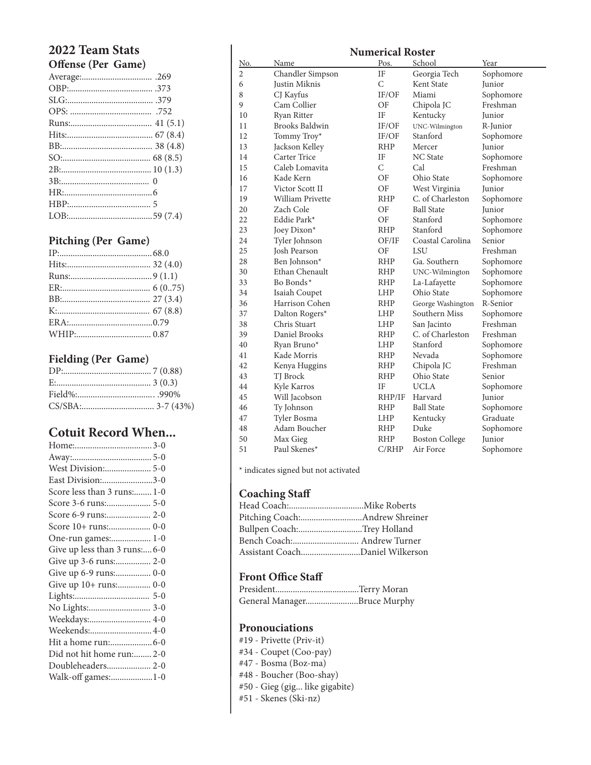#### **2022 Team Stats Offense (Per Game)**

| $1.010 \times 10^{-1}$ |  |
|------------------------|--|
|                        |  |
|                        |  |
|                        |  |
|                        |  |
|                        |  |
|                        |  |
|                        |  |
|                        |  |
|                        |  |
|                        |  |
|                        |  |
|                        |  |
|                        |  |
|                        |  |

#### **Pitching (Per Game)**

#### **Fielding (Per Game)**

#### **Cotuit Record When...**

| East Division:3-0            |
|------------------------------|
| Score less than 3 runs: 1-0  |
| Score 3-6 runs: 5-0          |
|                              |
| Score 10+ runs: 0-0          |
| One-run games: 1-0           |
| Give up less than 3 runs:6-0 |
|                              |
| Give up 6-9 runs: 0-0        |
| Give up 10+ runs: 0-0        |
|                              |
|                              |
| Weekdays: 4-0                |
| Weekends: 4-0                |
|                              |
| Did not hit home run: 2-0    |
| Doubleheaders 2-0            |
| Walk-off games:1-0           |
|                              |

| <b>Numerical Roster</b> |                  |                |                       |           |
|-------------------------|------------------|----------------|-----------------------|-----------|
| <u>No.</u>              | Name             | Pos.           | School                | Year      |
| $\overline{c}$          | Chandler Simpson | IF             | Georgia Tech          | Sophomore |
| 6                       | Justin Miknis    | $\mathcal{C}$  | Kent State            | Junior    |
| 8                       | CJ Kayfus        | IF/OF          | Miami                 | Sophomore |
| 9                       | Cam Collier      | OF             | Chipola JC            | Freshman  |
| 10                      | Ryan Ritter      | IF             | Kentucky              | Junior    |
| 11                      | Brooks Baldwin   | IF/OF          | UNC-Wilmington        | R-Junior  |
| 12                      | Tommy Troy*      | IF/OF          | Stanford              | Sophomore |
| 13                      | Jackson Kelley   | <b>RHP</b>     | Mercer                | Junior    |
| 14                      | Carter Trice     | ΙF             | <b>NC</b> State       | Sophomore |
| 15                      | Caleb Lomavita   | $\overline{C}$ | Cal                   | Freshman  |
| 16                      | Kade Kern        | OF             | Ohio State            | Sophomore |
| 17                      | Victor Scott II  | OF             | West Virginia         | Junior    |
| 19                      | William Privette | <b>RHP</b>     | C. of Charleston      | Sophomore |
| 20                      | Zach Cole        | OF             | <b>Ball State</b>     | Junior    |
| 22                      | Eddie Park*      | OF             | Stanford              | Sophomore |
| 23                      | Joey Dixon*      | <b>RHP</b>     | Stanford              | Sophomore |
| 24                      | Tyler Johnson    | OF/IF          | Coastal Carolina      | Senior    |
| 25                      | Josh Pearson     | OF             | <b>LSU</b>            | Freshman  |
| 28                      | Ben Johnson*     | <b>RHP</b>     | Ga. Southern          | Sophomore |
| 30                      | Ethan Chenault   | RHP            | UNC-Wilmington        | Sophomore |
| 33                      | Bo Bonds*        | <b>RHP</b>     | La-Lafayette          | Sophomore |
| 34                      | Isaiah Coupet    | <b>LHP</b>     | Ohio State            | Sophomore |
| 36                      | Harrison Cohen   | <b>RHP</b>     | George Washington     | R-Senior  |
| 37                      | Dalton Rogers*   | <b>LHP</b>     | Southern Miss         | Sophomore |
| 38                      | Chris Stuart     | LHP            | San Jacinto           | Freshman  |
| 39                      | Daniel Brooks    | RHP            | C. of Charleston      | Freshman  |
| 40                      | Ryan Bruno*      | <b>LHP</b>     | Stanford              | Sophomore |
| 41                      | Kade Morris      | <b>RHP</b>     | Nevada                | Sophomore |
| 42                      | Kenya Huggins    | <b>RHP</b>     | Chipola JC            | Freshman  |
| 43                      | TJ Brock         | <b>RHP</b>     | Ohio State            | Senior    |
| 44                      | Kyle Karros      | IF             | UCLA                  | Sophomore |
| 45                      | Will Jacobson    | RHP/IF         | Harvard               | Junior    |
| 46                      | Ty Johnson       | RHP            | <b>Ball State</b>     | Sophomore |
| 47                      | Tyler Bosma      | <b>LHP</b>     | Kentucky              | Graduate  |
| 48                      | Adam Boucher     | <b>RHP</b>     | Duke                  | Sophomore |
| 50                      | Max Gieg         | <b>RHP</b>     | <b>Boston College</b> | Junior    |
| 51                      | Paul Skenes*     | C/RHP          | Air Force             | Sophomore |

\* indicates signed but not activated

#### **Coaching Staff**

| Bullpen Coach:Trey Holland      |  |
|---------------------------------|--|
|                                 |  |
| Assistant CoachDaniel Wilkerson |  |

#### **Front Office Staff**

| General ManagerBruce Murphy |  |
|-----------------------------|--|

#### **Pronouciations**

- #19 Privette (Priv-it)
- #34 Coupet (Coo-pay)
- #47 Bosma (Boz-ma)
- #48 Boucher (Boo-shay)
- #50 Gieg (gig... like gigabite)
- #51 Skenes (Ski-nz)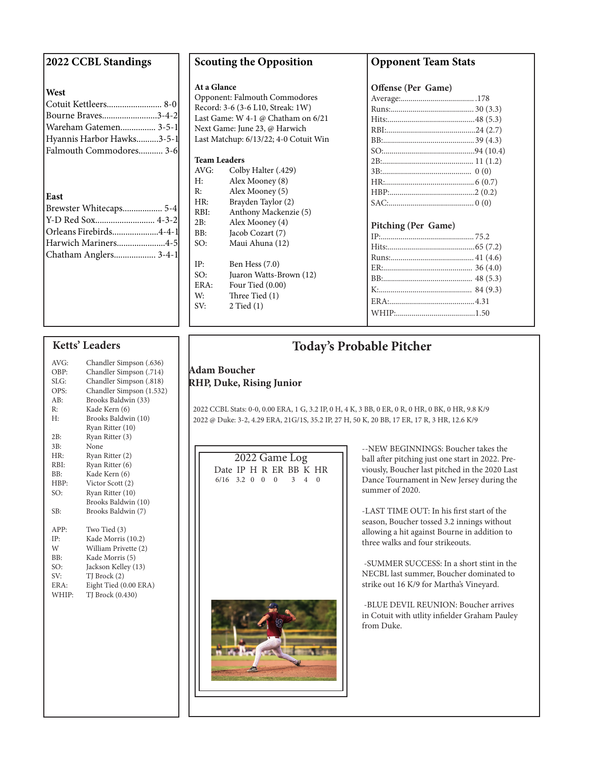#### **2022 CCBL Standings**

#### **West**

| west                      |  |
|---------------------------|--|
|                           |  |
| Bourne Braves3-4-2        |  |
| Wareham Gatemen 3-5-1     |  |
| Hyannis Harbor Hawks3-5-1 |  |
| Falmouth Commodores 3-6   |  |
|                           |  |
|                           |  |
| East                      |  |
| Brewster Whitecaps 5-4    |  |
|                           |  |
| Orleans Firebirds4-4-1    |  |
| Harwich Mariners4-5       |  |
| Chatham Anglers 3-4-1     |  |
|                           |  |

#### **Scouting the Opposition**

#### **At a Glance**

Opponent: Falmouth Commodores Record: 3-6 (3-6 L10, Streak: 1W) Last Game: W 4-1 @ Chatham on 6/21 Next Game: June 23, @ Harwich Last Matchup: 6/13/22; 4-0 Cotuit Win

#### **Team Leaders**

| AVG: | Colby Halter (.429)   |
|------|-----------------------|
| H:   | Alex Mooney (8)       |
| R:   | Alex Mooney (5)       |
| HR:  | Brayden Taylor (2)    |
| RBI: | Anthony Mackenzie (5) |
| 2B:  | Alex Mooney (4)       |
| BB:  | Jacob Cozart (7)      |
| SO:  | Maui Ahuna (12)       |
|      |                       |
| IP:  | Ben Hess $(7.0)$      |
|      |                       |

#### SO: Juaron Watts-Brown (12) ERA: Four Tied (0.00) W: Three Tied (1) SV: 2 Tied (1)

#### **Opponent Team Stats**

**Offense (Per Game)**

#### **Pitching (Per Game)**

#### **Ketts' Leaders**

| AVG:        | Chandler Simpson (.636)  |
|-------------|--------------------------|
| OBP:        | Chandler Simpson (.714)  |
| SLG:        | Chandler Simpson (.818)  |
| OPS:        | Chandler Simpson (1.532) |
| AB:         | Brooks Baldwin (33)      |
| R:          | Kade Kern (6)            |
| H:          | Brooks Baldwin (10)      |
|             | Ryan Ritter (10)         |
| 2B:         | Ryan Ritter (3)          |
| 3B:         | None                     |
| HR:         | Ryan Ritter (2)          |
| RBI:        | Ryan Ritter (6)          |
| BB:         | Kade Kern (6)            |
| HBP:        | Victor Scott (2)         |
| SO:         | Ryan Ritter (10)         |
|             | Brooks Baldwin (10)      |
| SB:         | Brooks Baldwin (7)       |
|             |                          |
| APP:        | Two Tied (3)             |
| $\cdot$ IP: | Kade Morris (10.2)       |
| W           | William Privette (2)     |
| BB:         | Kade Morris (5)          |
| SO:         | Jackson Kelley (13)      |
| SV:         | TJ Brock (2)             |
| ERA:        | Eight Tied (0.00 ERA)    |
| WHIP:       | TJ Brock (0.430)         |
|             |                          |
|             |                          |
|             |                          |

#### **Today's Probable Pitcher**

#### **Adam Boucher RHP, Duke, Rising Junior**

 2022 CCBL Stats: 0-0, 0.00 ERA, 1 G, 3.2 IP, 0 H, 4 K, 3 BB, 0 ER, 0 R, 0 HR, 0 BK, 0 HR, 9.8 K/9 2022 @ Duke: 3-2, 4.29 ERA, 21G/1S, 35.2 IP, 27 H, 50 K, 20 BB, 17 ER, 17 R, 3 HR, 12.6 K/9



--NEW BEGINNINGS: Boucher takes the ball after pitching just one start in 2022. Previously, Boucher last pitched in the 2020 Last Dance Tournament in New Jersey during the summer of 2020.

-LAST TIME OUT: In his first start of the season, Boucher tossed 3.2 innings without allowing a hit against Bourne in addition to three walks and four strikeouts.

 -SUMMER SUCCESS: In a short stint in the NECBL last summer, Boucher dominated to strike out 16 K/9 for Martha's Vineyard.

 -BLUE DEVIL REUNION: Boucher arrives in Cotuit with utlity infielder Graham Pauley from Duke.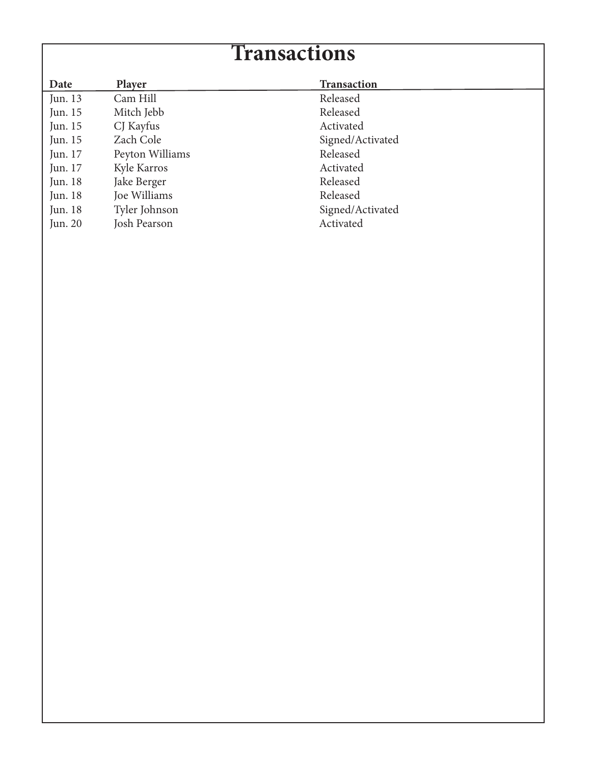## **Transactions**

| Date    | <b>Player</b>   | <b>Transaction</b> |
|---------|-----------------|--------------------|
| Jun. 13 | Cam Hill        | Released           |
| Jun. 15 | Mitch Jebb      | Released           |
| Jun. 15 | CJ Kayfus       | Activated          |
| Jun. 15 | Zach Cole       | Signed/Activated   |
| Jun. 17 | Peyton Williams | Released           |
| Jun. 17 | Kyle Karros     | Activated          |
| Jun. 18 | Jake Berger     | Released           |
| Jun. 18 | Joe Williams    | Released           |
| Jun. 18 | Tyler Johnson   | Signed/Activated   |
| Jun. 20 | Josh Pearson    | Activated          |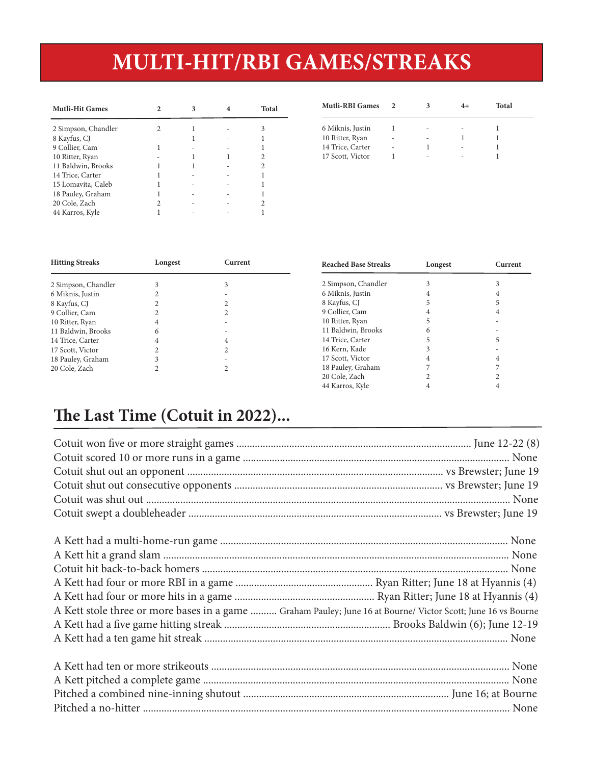## **MULTI-HIT/RBI GAMES/STREAKS**

| <b>Mutli-Hit Games</b> | 2                        | 3                        | $\overline{4}$           | <b>Total</b> | <b>Mutli-RBI Games</b> | $\overline{2}$           | 3                        | $4+$                     | Total |
|------------------------|--------------------------|--------------------------|--------------------------|--------------|------------------------|--------------------------|--------------------------|--------------------------|-------|
| 2 Simpson, Chandler    | 2                        |                          | $\overline{\phantom{a}}$ | 3            | 6 Miknis, Justin       |                          |                          | $\overline{\phantom{a}}$ |       |
| 8 Kayfus, CJ           | $\overline{\phantom{0}}$ |                          | $\overline{\phantom{a}}$ |              | 10 Ritter, Ryan        | $\overline{\phantom{0}}$ | $\overline{\phantom{a}}$ |                          |       |
| 9 Collier, Cam         |                          | $\overline{\phantom{a}}$ | $\sim$                   |              | 14 Trice, Carter       | $\overline{\phantom{a}}$ |                          | $\sim$                   |       |
| 10 Ritter, Ryan        | $\overline{\phantom{0}}$ |                          |                          | 2            | 17 Scott, Victor       |                          | $\overline{\phantom{a}}$ | $\overline{\phantom{a}}$ |       |
| 11 Baldwin, Brooks     |                          |                          | $\overline{\phantom{a}}$ |              |                        |                          |                          |                          |       |
| 14 Trice, Carter       |                          | $\overline{\phantom{a}}$ | $\overline{\phantom{0}}$ |              |                        |                          |                          |                          |       |
| 15 Lomavita, Caleb     |                          | $\overline{\phantom{a}}$ | $\overline{\phantom{a}}$ |              |                        |                          |                          |                          |       |
| 18 Pauley, Graham      |                          | $\overline{\phantom{a}}$ | $\overline{\phantom{a}}$ |              |                        |                          |                          |                          |       |
| 20 Cole, Zach          | <sup>1</sup>             | $\overline{\phantom{a}}$ | $\overline{\phantom{a}}$ |              |                        |                          |                          |                          |       |
| 44 Karros, Kyle        |                          | $\overline{\phantom{a}}$ | $\sim$                   |              |                        |                          |                          |                          |       |

| <b>Mutli-RBI Games</b> |   |   | Total |  |
|------------------------|---|---|-------|--|
| 6 Miknis, Justin       |   | ۰ |       |  |
| 10 Ritter, Ryan        | ۰ |   |       |  |
| 14 Trice, Carter       | - |   |       |  |
| 17 Scott, Victor       |   |   |       |  |

44 Karros, Kyle 4 4

| <b>Hitting Streaks</b> | Longest | Current | <b>Reached Base Streaks</b> | Longest | Current |
|------------------------|---------|---------|-----------------------------|---------|---------|
| 2 Simpson, Chandler    |         |         | 2 Simpson, Chandler         |         |         |
| 6 Miknis, Justin       |         |         | 6 Miknis, Justin            |         |         |
| 8 Kayfus, CJ           |         |         | 8 Kayfus, CJ                |         |         |
| 9 Collier, Cam         |         |         | 9 Collier, Cam              |         |         |
| 10 Ritter, Ryan        |         |         | 10 Ritter, Ryan             |         |         |
| 11 Baldwin, Brooks     | h       |         | 11 Baldwin, Brooks          |         |         |
| 14 Trice, Carter       |         |         | 14 Trice, Carter            |         |         |
| 17 Scott, Victor       |         |         | 16 Kern, Kade               |         |         |
| 18 Pauley, Graham      |         |         | 17 Scott, Victor            |         |         |
| 20 Cole, Zach          |         |         | 18 Pauley, Graham           |         |         |
|                        |         |         | 20 Cole, Zach               |         |         |

## **The Last Time (Cotuit in 2022)...**

| A Kett stole three or more bases in a game  Graham Pauley; June 16 at Bourne/ Victor Scott; June 16 vs Bourne |  |
|---------------------------------------------------------------------------------------------------------------|--|
|                                                                                                               |  |
|                                                                                                               |  |
|                                                                                                               |  |
|                                                                                                               |  |
|                                                                                                               |  |
|                                                                                                               |  |